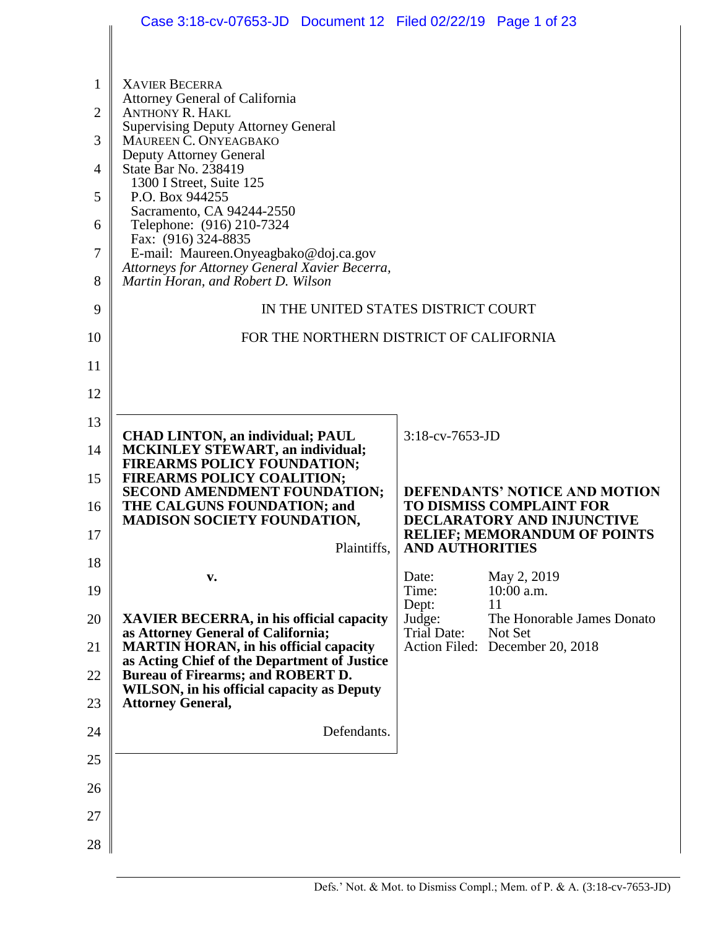|                | Case 3:18-cv-07653-JD  Document 12  Filed 02/22/19  Page 1 of 23                     |                        |                                                                         |  |  |
|----------------|--------------------------------------------------------------------------------------|------------------------|-------------------------------------------------------------------------|--|--|
|                |                                                                                      |                        |                                                                         |  |  |
| 1              | <b>XAVIER BECERRA</b><br>Attorney General of California                              |                        |                                                                         |  |  |
| $\overline{2}$ | <b>ANTHONY R. HAKL</b>                                                               |                        |                                                                         |  |  |
| 3              | <b>Supervising Deputy Attorney General</b><br>MAUREEN C. ONYEAGBAKO                  |                        |                                                                         |  |  |
| 4              | Deputy Attorney General<br>State Bar No. 238419                                      |                        |                                                                         |  |  |
| 5              | 1300 I Street, Suite 125<br>P.O. Box 944255                                          |                        |                                                                         |  |  |
| 6              | Sacramento, CA 94244-2550<br>Telephone: (916) 210-7324                               |                        |                                                                         |  |  |
| 7              | Fax: (916) 324-8835<br>E-mail: Maureen.Onyeagbako@doj.ca.gov                         |                        |                                                                         |  |  |
| 8              | Attorneys for Attorney General Xavier Becerra,<br>Martin Horan, and Robert D. Wilson |                        |                                                                         |  |  |
| 9              | IN THE UNITED STATES DISTRICT COURT                                                  |                        |                                                                         |  |  |
| 10             | FOR THE NORTHERN DISTRICT OF CALIFORNIA                                              |                        |                                                                         |  |  |
| 11             |                                                                                      |                        |                                                                         |  |  |
| 12             |                                                                                      |                        |                                                                         |  |  |
| 13             |                                                                                      |                        |                                                                         |  |  |
| 14             | <b>CHAD LINTON, an individual; PAUL</b><br><b>MCKINLEY STEWART, an individual;</b>   | 3:18-cv-7653-JD        |                                                                         |  |  |
| 15             | FIREARMS POLICY FOUNDATION;<br><b>FIREARMS POLICY COALITION;</b>                     |                        |                                                                         |  |  |
| 16             | SECOND AMENDMENT FOUNDATION;<br>THE CALGUNS FOUNDATION; and                          |                        | <b>DEFENDANTS' NOTICE AND MOTION</b><br><b>TO DISMISS COMPLAINT FOR</b> |  |  |
| 17             | <b>MADISON SOCIETY FOUNDATION,</b>                                                   |                        | DECLARATORY AND INJUNCTIVE<br><b>RELIEF; MEMORANDUM OF POINTS</b>       |  |  |
| 18             | Plaintiffs,                                                                          | <b>AND AUTHORITIES</b> |                                                                         |  |  |
| 19             | v.                                                                                   | Date:<br>Time:         | May 2, 2019<br>$10:00$ a.m.                                             |  |  |
| 20             | <b>XAVIER BECERRA, in his official capacity</b>                                      | Dept:<br>Judge:        | 11<br>The Honorable James Donato                                        |  |  |
| 21             | as Attorney General of California;<br><b>MARTIN HORAN, in his official capacity</b>  | <b>Trial Date:</b>     | Not Set<br>Action Filed: December 20, 2018                              |  |  |
| 22             | as Acting Chief of the Department of Justice<br>Bureau of Firearms; and ROBERT D.    |                        |                                                                         |  |  |
| 23             | <b>WILSON, in his official capacity as Deputy</b><br><b>Attorney General,</b>        |                        |                                                                         |  |  |
| 24             | Defendants.                                                                          |                        |                                                                         |  |  |
| 25             |                                                                                      |                        |                                                                         |  |  |
| 26             |                                                                                      |                        |                                                                         |  |  |
| 27             |                                                                                      |                        |                                                                         |  |  |
| 28             |                                                                                      |                        |                                                                         |  |  |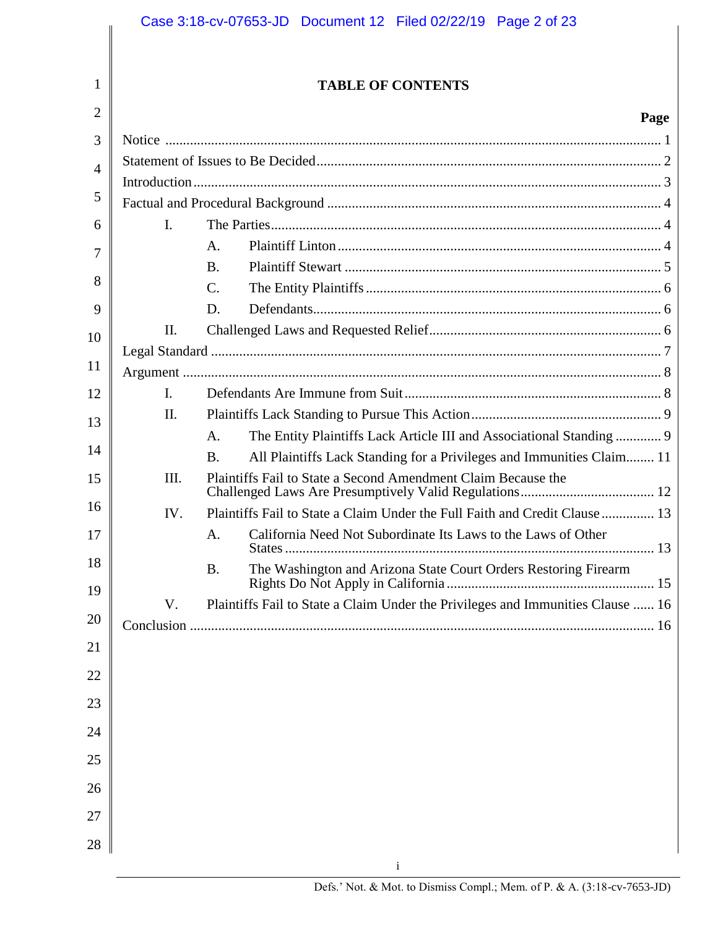#### 1 2 3 4 5 6 7 8 9 10 11 12 13 14 15 16 17 18 19 20 21 22 23 24 25 26 27 28 **TABLE OF CONTENTS Page** i Notice ............................................................................................................................................. 1 Statement of Issues to Be Decided.................................................................................................. 2 Introduction..................................................................................................................................... 3 Factual and Procedural Background ............................................................................................... 4 I. The Parties............................................................................................................... 4 A. Plaintiff Linton............................................................................................ 4 B. Plaintiff Stewart .......................................................................................... 5 C. The Entity Plaintiffs.................................................................................... 6 D. Defendants................................................................................................... 6 II. Challenged Laws and Requested Relief.................................................................. 6 Legal Standard ................................................................................................................................ 7 Argument ........................................................................................................................................ 8 I. Defendants Are Immune from Suit......................................................................... 8 II. Plaintiffs Lack Standing to Pursue This Action...................................................... 9 A. The Entity Plaintiffs Lack Article III and Associational Standing ............. 9 B. All Plaintiffs Lack Standing for a Privileges and Immunities Claim........ 11 III. Plaintiffs Fail to State a Second Amendment Claim Because the Challenged Laws Are Presumptively Valid Regulations...................................... 12 IV. Plaintiffs Fail to State a Claim Under the Full Faith and Credit Clause ............... 13 A. California Need Not Subordinate Its Laws to the Laws of Other States......................................................................................................... 13 B. The Washington and Arizona State Court Orders Restoring Firearm Rights Do Not Apply in California ........................................................... 15 V. Plaintiffs Fail to State a Claim Under the Privileges and Immunities Clause ...... 16 Conclusion .................................................................................................................................... 16 Case 3:18-cv-07653-JD Document 12 Filed 02/22/19 Page 2 of 23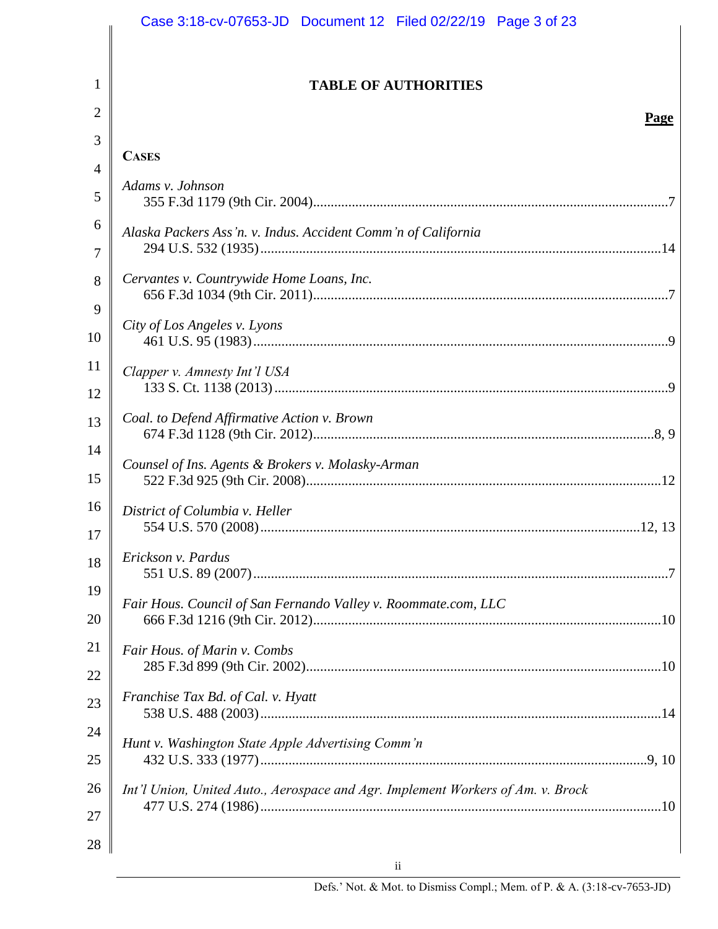|                | Case 3:18-cv-07653-JD  Document 12  Filed 02/22/19  Page 3 of 23                |
|----------------|---------------------------------------------------------------------------------|
|                |                                                                                 |
| $\mathbf{1}$   | <b>TABLE OF AUTHORITIES</b>                                                     |
| 2              | Page                                                                            |
| 3              |                                                                                 |
| $\overline{4}$ | <b>CASES</b>                                                                    |
| 5              | Adams v. Johnson                                                                |
| 6<br>7         | Alaska Packers Ass'n. v. Indus. Accident Comm'n of California                   |
| 8<br>9         | Cervantes v. Countrywide Home Loans, Inc.                                       |
| 10             | City of Los Angeles v. Lyons                                                    |
| 11<br>12       | Clapper v. Amnesty Int'l USA                                                    |
| 13             | Coal. to Defend Affirmative Action v. Brown                                     |
| 14<br>15       | Counsel of Ins. Agents & Brokers v. Molasky-Arman                               |
| 16<br>17       | District of Columbia v. Heller                                                  |
| 18             | Erickson v. Pardus                                                              |
| 19<br>20       | Fair Hous. Council of San Fernando Valley v. Roommate.com, LLC                  |
| 21             | Fair Hous. of Marin v. Combs                                                    |
| 22<br>23       | Franchise Tax Bd. of Cal. v. Hyatt                                              |
| 24<br>25       | Hunt v. Washington State Apple Advertising Comm'n                               |
| 26             | Int'l Union, United Auto., Aerospace and Agr. Implement Workers of Am. v. Brock |
| 27             |                                                                                 |
| 28             |                                                                                 |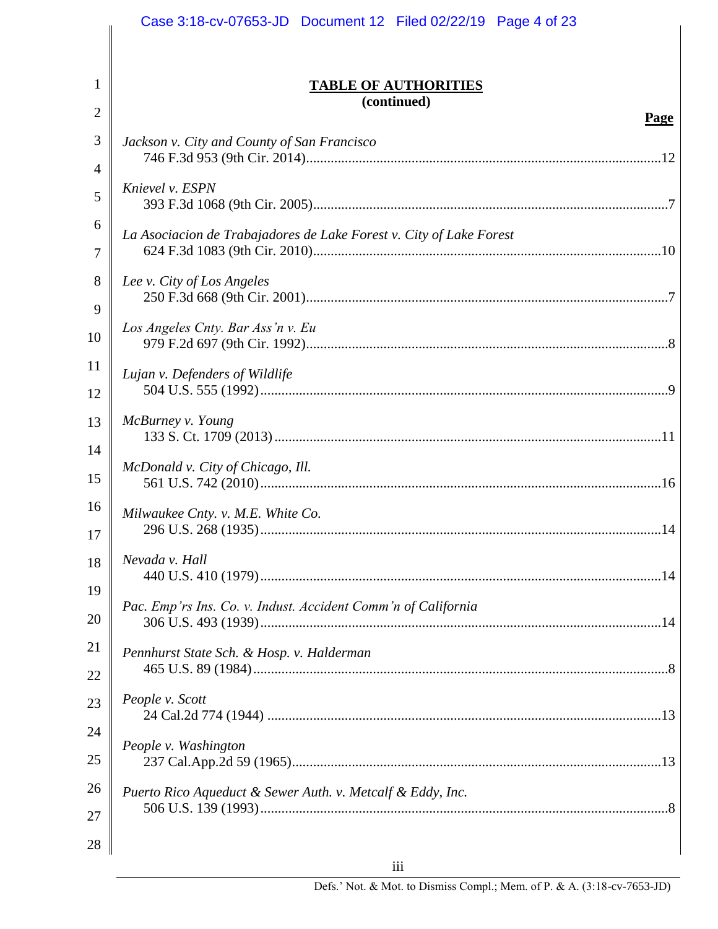|          | Case 3:18-cv-07653-JD  Document 12  Filed 02/22/19  Page 4 of 23    |
|----------|---------------------------------------------------------------------|
|          |                                                                     |
| 1<br>2   | <b>TABLE OF AUTHORITIES</b><br>(continued)                          |
|          | <b>Page</b>                                                         |
| 3        | Jackson v. City and County of San Francisco                         |
| 4        | Knievel v. ESPN                                                     |
| 5        |                                                                     |
| 6<br>7   | La Asociacion de Trabajadores de Lake Forest v. City of Lake Forest |
| 8        | Lee v. City of Los Angeles                                          |
| 9        |                                                                     |
| 10       | Los Angeles Cnty. Bar Ass'n v. Eu                                   |
| 11       | Lujan v. Defenders of Wildlife                                      |
| 12       |                                                                     |
| 13       | McBurney v. Young                                                   |
| 14       |                                                                     |
| 15       | McDonald v. City of Chicago, Ill.                                   |
| 16<br>17 | Milwaukee Cnty. v. M.E. White Co.                                   |
| 18       | Nevada v. Hall                                                      |
| 19       |                                                                     |
| 20       | Pac. Emp'rs Ins. Co. v. Indust. Accident Comm'n of California       |
| 21       | Pennhurst State Sch. & Hosp. v. Halderman                           |
| 22       |                                                                     |
| 23       | People v. Scott                                                     |
| 24       |                                                                     |
| 25       | People v. Washington                                                |
| 26       | Puerto Rico Aqueduct & Sewer Auth. v. Metcalf & Eddy, Inc.          |
| 27       |                                                                     |
| 28       |                                                                     |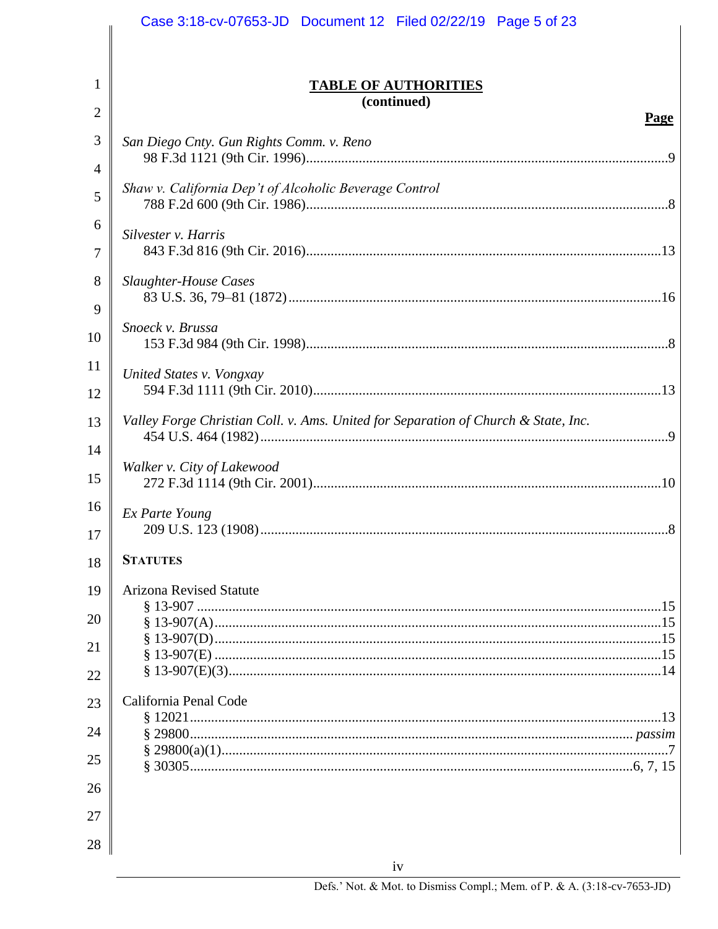|                | Case 3:18-cv-07653-JD  Document 12  Filed 02/22/19  Page 5 of 23                   |
|----------------|------------------------------------------------------------------------------------|
|                |                                                                                    |
| 1              | <b>TABLE OF AUTHORITIES</b>                                                        |
| $\overline{2}$ | (continued)                                                                        |
| 3              | Page<br>San Diego Cnty. Gun Rights Comm. v. Reno                                   |
| $\overline{4}$ |                                                                                    |
| 5              | Shaw v. California Dep't of Alcoholic Beverage Control                             |
| 6<br>7         | Silvester v. Harris                                                                |
| 8              | <b>Slaughter-House Cases</b>                                                       |
| 9              |                                                                                    |
| 10             | Snoeck v. Brussa                                                                   |
| 11             | United States v. Vongxay                                                           |
| 12             |                                                                                    |
| 13             | Valley Forge Christian Coll. v. Ams. United for Separation of Church & State, Inc. |
| 14             | Walker v. City of Lakewood                                                         |
| 15             |                                                                                    |
| 16             | Ex Parte Young                                                                     |
| 17             |                                                                                    |
| 18             | <b>STATUTES</b>                                                                    |
| 19             | <b>Arizona Revised Statute</b>                                                     |
| 20             |                                                                                    |
| 21             |                                                                                    |
| 22             |                                                                                    |
| 23             | California Penal Code                                                              |
| 24             |                                                                                    |
| 25             |                                                                                    |
| 26             |                                                                                    |
| 27             |                                                                                    |
| 28             |                                                                                    |
|                | iv                                                                                 |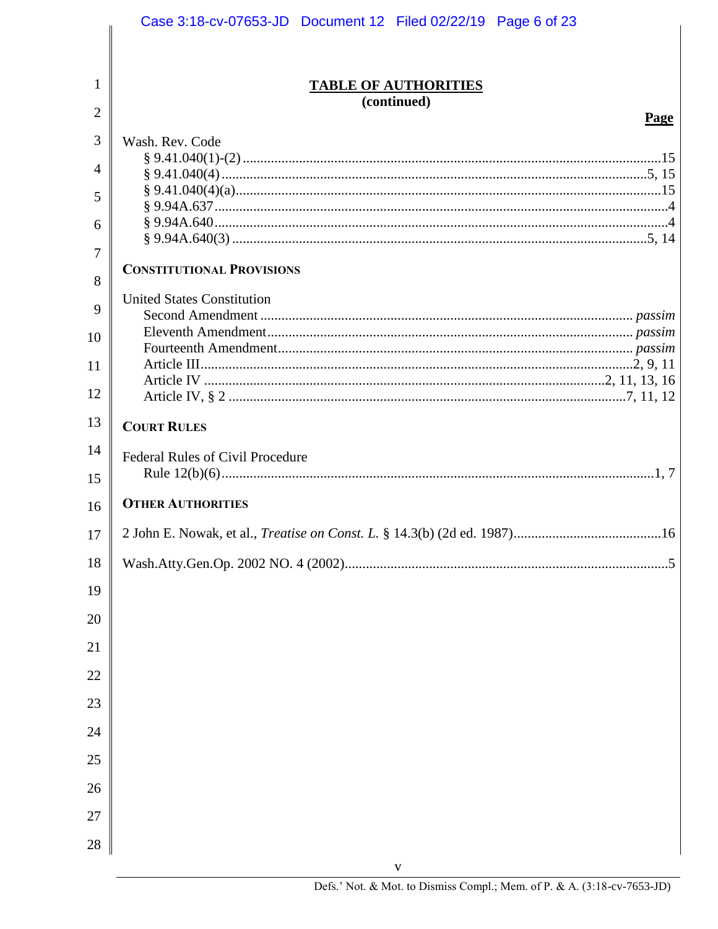|    | Case 3:18-cv-07653-JD  Document 12  Filed 02/22/19  Page 6 of 23             |
|----|------------------------------------------------------------------------------|
|    |                                                                              |
| 1  | <b>TABLE OF AUTHORITIES</b>                                                  |
| 2  | (continued)                                                                  |
| 3  | Page<br>Wash. Rev. Code                                                      |
| 4  |                                                                              |
|    |                                                                              |
| 5  |                                                                              |
| 6  |                                                                              |
| 7  | <b>CONSTITUTIONAL PROVISIONS</b>                                             |
| 8  | <b>United States Constitution</b>                                            |
| 9  |                                                                              |
| 10 |                                                                              |
| 11 |                                                                              |
| 12 |                                                                              |
| 13 | <b>COURT RULES</b>                                                           |
| 14 | <b>Federal Rules of Civil Procedure</b>                                      |
| 15 |                                                                              |
| 16 | <b>OTHER AUTHORITIES</b>                                                     |
| 17 | 2 John E. Nowak, et al., Treatise on Const. L. § 14.3(b) (2d ed. 1987)<br>16 |
| 18 |                                                                              |
| 19 |                                                                              |
| 20 |                                                                              |
| 21 |                                                                              |
| 22 |                                                                              |
| 23 |                                                                              |
| 24 |                                                                              |
| 25 |                                                                              |
| 26 |                                                                              |
| 27 |                                                                              |
| 28 |                                                                              |
|    |                                                                              |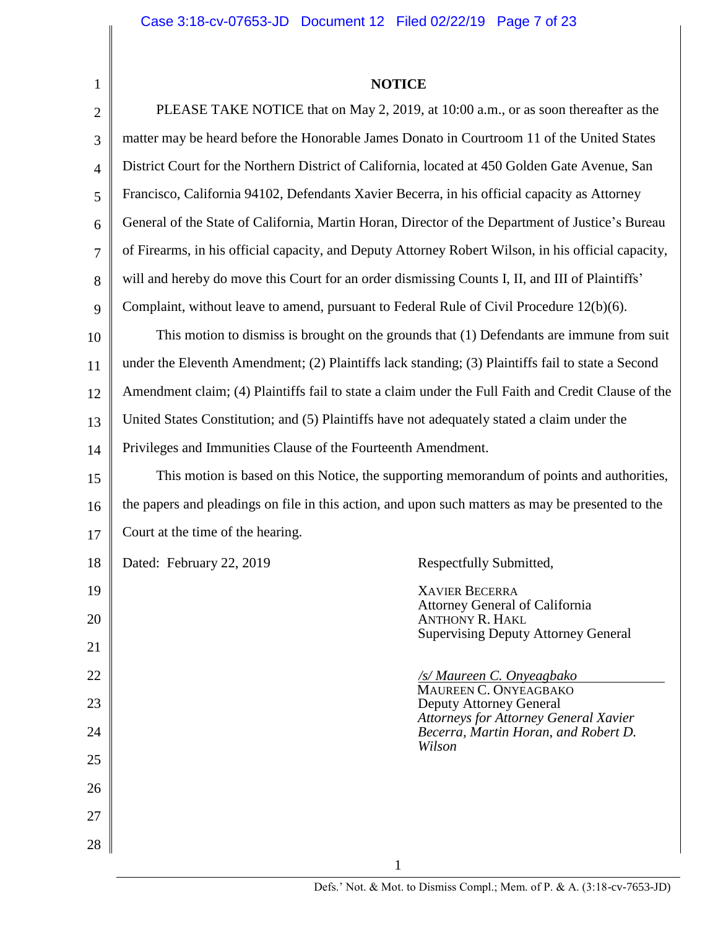| <b>NOTICE</b> |  |
|---------------|--|
|---------------|--|

| $\mathbf{1}$   | <b>NOTICE</b>                                                                                       |  |  |  |
|----------------|-----------------------------------------------------------------------------------------------------|--|--|--|
| $\overline{2}$ | PLEASE TAKE NOTICE that on May 2, 2019, at 10:00 a.m., or as soon thereafter as the                 |  |  |  |
| 3              | matter may be heard before the Honorable James Donato in Courtroom 11 of the United States          |  |  |  |
| $\overline{4}$ | District Court for the Northern District of California, located at 450 Golden Gate Avenue, San      |  |  |  |
| 5              | Francisco, California 94102, Defendants Xavier Becerra, in his official capacity as Attorney        |  |  |  |
| 6              | General of the State of California, Martin Horan, Director of the Department of Justice's Bureau    |  |  |  |
| 7              | of Firearms, in his official capacity, and Deputy Attorney Robert Wilson, in his official capacity, |  |  |  |
| 8              | will and hereby do move this Court for an order dismissing Counts I, II, and III of Plaintiffs'     |  |  |  |
| 9              | Complaint, without leave to amend, pursuant to Federal Rule of Civil Procedure 12(b)(6).            |  |  |  |
| 10             | This motion to dismiss is brought on the grounds that (1) Defendants are immune from suit           |  |  |  |
| 11             | under the Eleventh Amendment; (2) Plaintiffs lack standing; (3) Plaintiffs fail to state a Second   |  |  |  |
| 12             | Amendment claim; (4) Plaintiffs fail to state a claim under the Full Faith and Credit Clause of the |  |  |  |
| 13             | United States Constitution; and (5) Plaintiffs have not adequately stated a claim under the         |  |  |  |
| 14             | Privileges and Immunities Clause of the Fourteenth Amendment.                                       |  |  |  |
| 15             | This motion is based on this Notice, the supporting memorandum of points and authorities,           |  |  |  |
| 16             | the papers and pleadings on file in this action, and upon such matters as may be presented to the   |  |  |  |
| 17             | Court at the time of the hearing.                                                                   |  |  |  |
| 18             | Dated: February 22, 2019<br>Respectfully Submitted,                                                 |  |  |  |
| 19             | <b>XAVIER BECERRA</b>                                                                               |  |  |  |
| 20             | Attorney General of California<br><b>ANTHONY R. HAKL</b>                                            |  |  |  |
| 21             | <b>Supervising Deputy Attorney General</b>                                                          |  |  |  |
| 22             | <b>/s/ Maureen C. Onyeagbako</b><br>MAUREEN C. ONYEAGBAKO                                           |  |  |  |
| 23             | <b>Deputy Attorney General</b>                                                                      |  |  |  |
| 24             | <b>Attorneys for Attorney General Xavier</b><br>Becerra, Martin Horan, and Robert D.                |  |  |  |
| 25             | Wilson                                                                                              |  |  |  |
| 26             |                                                                                                     |  |  |  |
| 27             |                                                                                                     |  |  |  |
| 28             |                                                                                                     |  |  |  |
|                |                                                                                                     |  |  |  |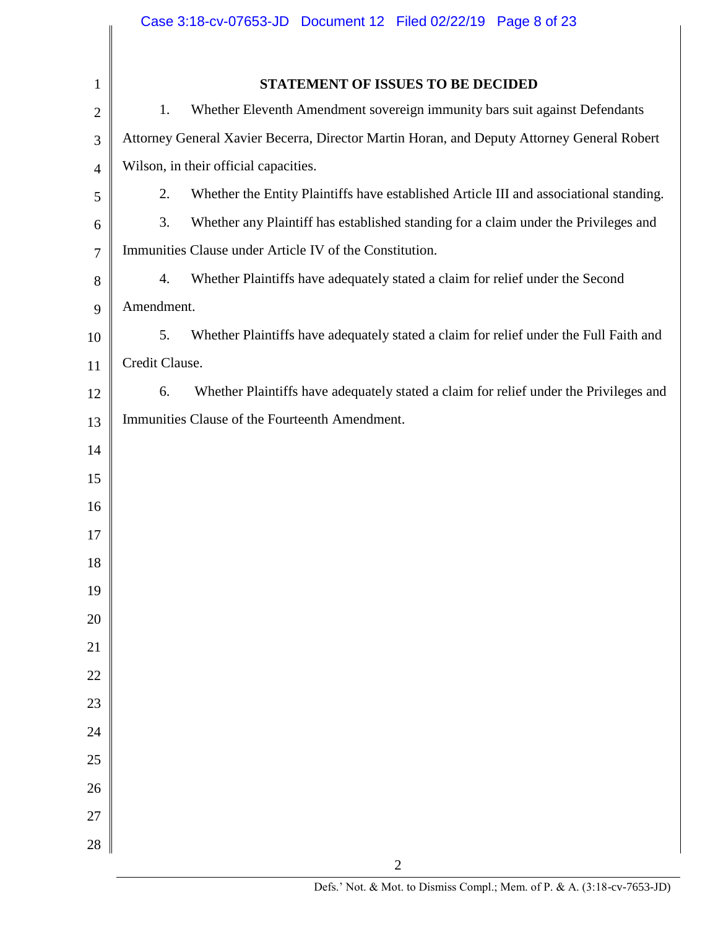|                | Case 3:18-cv-07653-JD  Document 12  Filed 02/22/19  Page 8 of 23                             |  |  |  |  |  |
|----------------|----------------------------------------------------------------------------------------------|--|--|--|--|--|
|                |                                                                                              |  |  |  |  |  |
| $\mathbf{1}$   | STATEMENT OF ISSUES TO BE DECIDED                                                            |  |  |  |  |  |
| $\overline{2}$ | Whether Eleventh Amendment sovereign immunity bars suit against Defendants<br>1.             |  |  |  |  |  |
| 3              | Attorney General Xavier Becerra, Director Martin Horan, and Deputy Attorney General Robert   |  |  |  |  |  |
| 4              | Wilson, in their official capacities.                                                        |  |  |  |  |  |
| 5              | 2.<br>Whether the Entity Plaintiffs have established Article III and associational standing. |  |  |  |  |  |
| 6              | 3.<br>Whether any Plaintiff has established standing for a claim under the Privileges and    |  |  |  |  |  |
| $\tau$         | Immunities Clause under Article IV of the Constitution.                                      |  |  |  |  |  |
| 8              | Whether Plaintiffs have adequately stated a claim for relief under the Second<br>4.          |  |  |  |  |  |
| 9              | Amendment.                                                                                   |  |  |  |  |  |
| 10             | 5.<br>Whether Plaintiffs have adequately stated a claim for relief under the Full Faith and  |  |  |  |  |  |
| 11             | Credit Clause.                                                                               |  |  |  |  |  |
| 12             | Whether Plaintiffs have adequately stated a claim for relief under the Privileges and<br>6.  |  |  |  |  |  |
| 13             | Immunities Clause of the Fourteenth Amendment.                                               |  |  |  |  |  |
| 14             |                                                                                              |  |  |  |  |  |
| 15             |                                                                                              |  |  |  |  |  |
| 16             |                                                                                              |  |  |  |  |  |
| 17             |                                                                                              |  |  |  |  |  |
| 18             |                                                                                              |  |  |  |  |  |
| 19             |                                                                                              |  |  |  |  |  |
| 20             |                                                                                              |  |  |  |  |  |
| 21             |                                                                                              |  |  |  |  |  |
| 22             |                                                                                              |  |  |  |  |  |
| 23             |                                                                                              |  |  |  |  |  |
| 24             |                                                                                              |  |  |  |  |  |
| 25             |                                                                                              |  |  |  |  |  |
| 26             |                                                                                              |  |  |  |  |  |
| 27             |                                                                                              |  |  |  |  |  |
| 28             |                                                                                              |  |  |  |  |  |
|                | $\overline{2}$                                                                               |  |  |  |  |  |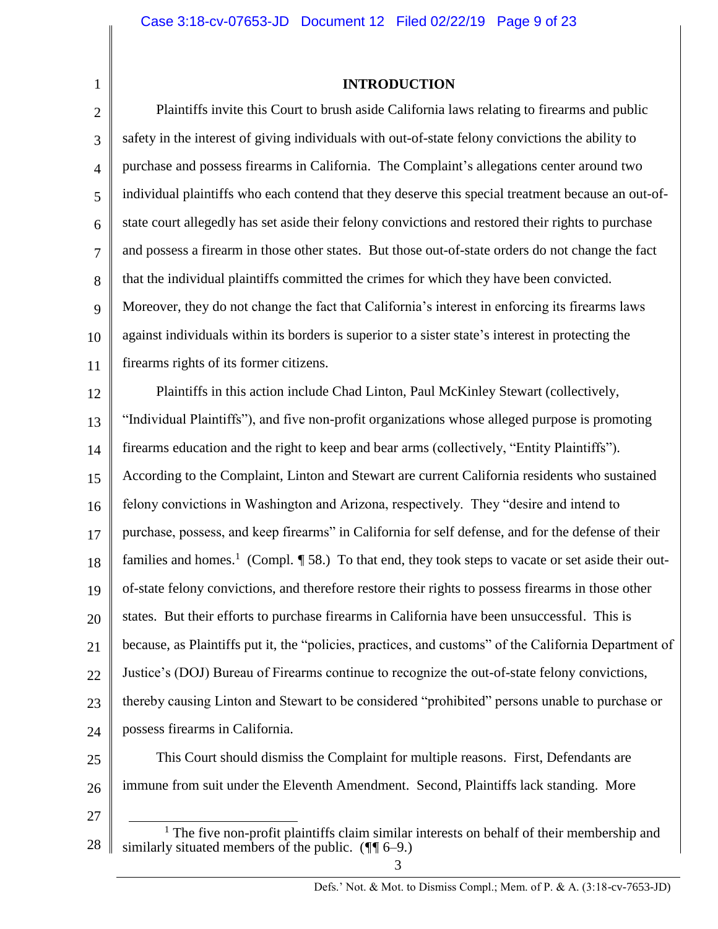**INTRODUCTION**

2 3 4 5 6 7 8 9 10 11 12 13 14 15 16 17 18 19 20 21 22 23 24 25 Plaintiffs invite this Court to brush aside California laws relating to firearms and public safety in the interest of giving individuals with out-of-state felony convictions the ability to purchase and possess firearms in California. The Complaint's allegations center around two individual plaintiffs who each contend that they deserve this special treatment because an out-ofstate court allegedly has set aside their felony convictions and restored their rights to purchase and possess a firearm in those other states. But those out-of-state orders do not change the fact that the individual plaintiffs committed the crimes for which they have been convicted. Moreover, they do not change the fact that California's interest in enforcing its firearms laws against individuals within its borders is superior to a sister state's interest in protecting the firearms rights of its former citizens. Plaintiffs in this action include Chad Linton, Paul McKinley Stewart (collectively, "Individual Plaintiffs"), and five non-profit organizations whose alleged purpose is promoting firearms education and the right to keep and bear arms (collectively, "Entity Plaintiffs"). According to the Complaint, Linton and Stewart are current California residents who sustained felony convictions in Washington and Arizona, respectively. They "desire and intend to purchase, possess, and keep firearms" in California for self defense, and for the defense of their families and homes.<sup>1</sup> (Compl. *¶* 58.) To that end, they took steps to vacate or set aside their outof-state felony convictions, and therefore restore their rights to possess firearms in those other states. But their efforts to purchase firearms in California have been unsuccessful. This is because, as Plaintiffs put it, the "policies, practices, and customs" of the California Department of Justice's (DOJ) Bureau of Firearms continue to recognize the out-of-state felony convictions, thereby causing Linton and Stewart to be considered "prohibited" persons unable to purchase or possess firearms in California. This Court should dismiss the Complaint for multiple reasons. First, Defendants are

- 26 immune from suit under the Eleventh Amendment. Second, Plaintiffs lack standing. More
- 27

1

<sup>28</sup> l <sup>1</sup> The five non-profit plaintiffs claim similar interests on behalf of their membership and similarly situated members of the public. (*¶¶* 6–9.)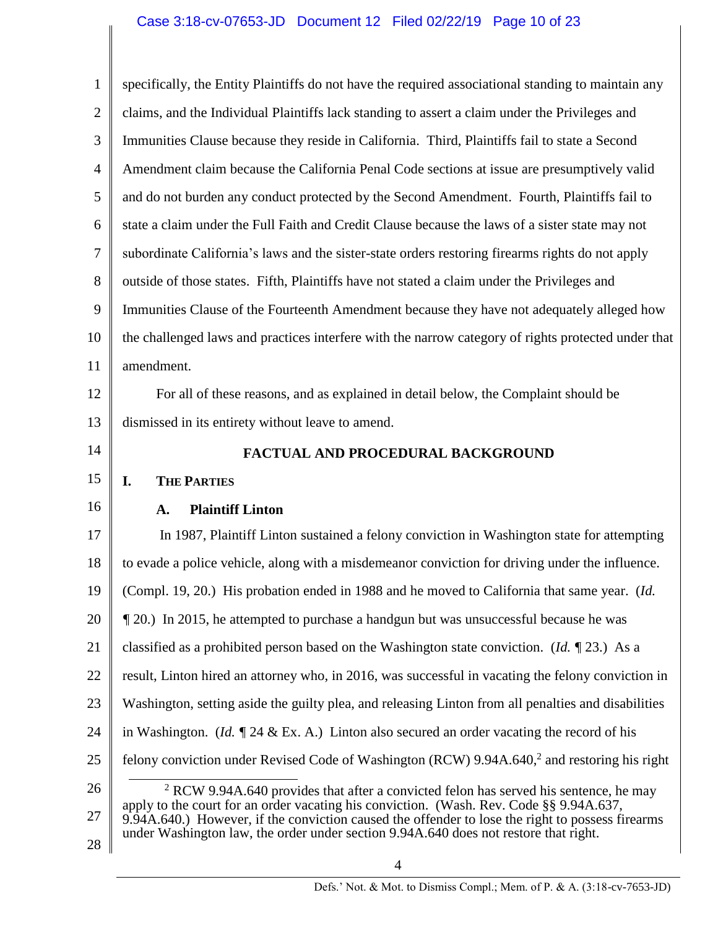| $\mathbf{1}$   | specifically, the Entity Plaintiffs do not have the required associational standing to maintain any                                                                                                                                                                                 |  |  |  |
|----------------|-------------------------------------------------------------------------------------------------------------------------------------------------------------------------------------------------------------------------------------------------------------------------------------|--|--|--|
| $\mathfrak{2}$ | claims, and the Individual Plaintiffs lack standing to assert a claim under the Privileges and                                                                                                                                                                                      |  |  |  |
| $\mathfrak{Z}$ | Immunities Clause because they reside in California. Third, Plaintiffs fail to state a Second                                                                                                                                                                                       |  |  |  |
| $\overline{4}$ | Amendment claim because the California Penal Code sections at issue are presumptively valid                                                                                                                                                                                         |  |  |  |
| 5              | and do not burden any conduct protected by the Second Amendment. Fourth, Plaintiffs fail to                                                                                                                                                                                         |  |  |  |
| 6              | state a claim under the Full Faith and Credit Clause because the laws of a sister state may not                                                                                                                                                                                     |  |  |  |
| $\tau$         | subordinate California's laws and the sister-state orders restoring firearms rights do not apply                                                                                                                                                                                    |  |  |  |
| 8              | outside of those states. Fifth, Plaintiffs have not stated a claim under the Privileges and                                                                                                                                                                                         |  |  |  |
| 9              | Immunities Clause of the Fourteenth Amendment because they have not adequately alleged how                                                                                                                                                                                          |  |  |  |
| 10             | the challenged laws and practices interfere with the narrow category of rights protected under that                                                                                                                                                                                 |  |  |  |
| 11             | amendment.                                                                                                                                                                                                                                                                          |  |  |  |
| 12             | For all of these reasons, and as explained in detail below, the Complaint should be                                                                                                                                                                                                 |  |  |  |
| 13             | dismissed in its entirety without leave to amend.                                                                                                                                                                                                                                   |  |  |  |
| 14             | FACTUAL AND PROCEDURAL BACKGROUND                                                                                                                                                                                                                                                   |  |  |  |
|                |                                                                                                                                                                                                                                                                                     |  |  |  |
| 15             | <b>THE PARTIES</b><br>I.                                                                                                                                                                                                                                                            |  |  |  |
| 16             | <b>Plaintiff Linton</b><br>A.                                                                                                                                                                                                                                                       |  |  |  |
| 17             | In 1987, Plaintiff Linton sustained a felony conviction in Washington state for attempting                                                                                                                                                                                          |  |  |  |
| 18             | to evade a police vehicle, along with a misdemeanor conviction for driving under the influence.                                                                                                                                                                                     |  |  |  |
| 19             | (Compl. 19, 20.) His probation ended in 1988 and he moved to California that same year. (Id.                                                                                                                                                                                        |  |  |  |
| 20             | 1 20.) In 2015, he attempted to purchase a handgun but was unsuccessful because he was                                                                                                                                                                                              |  |  |  |
| 21             | classified as a prohibited person based on the Washington state conviction. ( <i>Id.</i> $\sqrt{ }$ 23.) As a                                                                                                                                                                       |  |  |  |
| 22             | result, Linton hired an attorney who, in 2016, was successful in vacating the felony conviction in                                                                                                                                                                                  |  |  |  |
| 23             | Washington, setting aside the guilty plea, and releasing Linton from all penalties and disabilities                                                                                                                                                                                 |  |  |  |
| 24             | in Washington. ( <i>Id.</i> $\sqrt{\frac{24 \& Ex. A.}}$ ) Linton also secured an order vacating the record of his                                                                                                                                                                  |  |  |  |
| 25             | felony conviction under Revised Code of Washington (RCW) $9.94A.6402$ and restoring his right                                                                                                                                                                                       |  |  |  |
| 26             | $2$ RCW 9.94A.640 provides that after a convicted felon has served his sentence, he may                                                                                                                                                                                             |  |  |  |
| 27             | apply to the court for an order vacating his conviction. (Wash. Rev. Code §§ 9.94A.637,<br>9.94A.640.) However, if the conviction caused the offender to lose the right to possess firearms<br>under Washington law, the order under section 9.94A.640 does not restore that right. |  |  |  |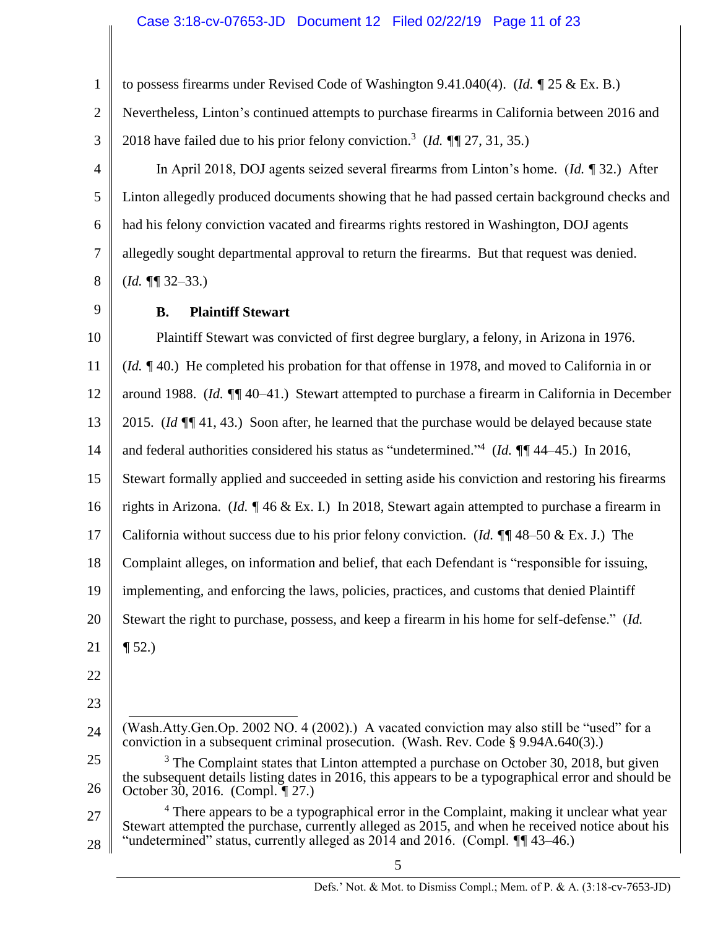## Case 3:18-cv-07653-JD Document 12 Filed 02/22/19 Page 11 of 23

to possess firearms under Revised Code of Washington 9.41.040(4). (*Id. ¶* 25 & Ex. B.)

Nevertheless, Linton's continued attempts to purchase firearms in California between 2016 and 2018 have failed due to his prior felony conviction.<sup>3</sup> (*Id. ¶¶* 27, 31, 35.)

5 6 7 8 In April 2018, DOJ agents seized several firearms from Linton's home. (*Id. ¶* 32.) After Linton allegedly produced documents showing that he had passed certain background checks and had his felony conviction vacated and firearms rights restored in Washington, DOJ agents allegedly sought departmental approval to return the firearms. But that request was denied. (*Id. ¶¶* 32–33.)

9

# **B. Plaintiff Stewart**

10 11 12 13 14 15 16 17 18 19 20 21 22 23 24 25 26 27 Plaintiff Stewart was convicted of first degree burglary, a felony, in Arizona in 1976. (*Id. ¶* 40.) He completed his probation for that offense in 1978, and moved to California in or around 1988. (*Id. ¶¶* 40–41.) Stewart attempted to purchase a firearm in California in December 2015. (*Id ¶¶* 41, 43.) Soon after, he learned that the purchase would be delayed because state and federal authorities considered his status as "undetermined." 4 (*Id. ¶¶* 44–45.) In 2016, Stewart formally applied and succeeded in setting aside his conviction and restoring his firearms rights in Arizona. (*Id. ¶* 46 & Ex. I.) In 2018, Stewart again attempted to purchase a firearm in California without success due to his prior felony conviction. (*Id. ¶¶* 48–50 & Ex. J.) The Complaint alleges, on information and belief, that each Defendant is "responsible for issuing, implementing, and enforcing the laws, policies, practices, and customs that denied Plaintiff Stewart the right to purchase, possess, and keep a firearm in his home for self-defense." (*Id. ¶* 52.) l (Wash.Atty.Gen.Op. 2002 NO. 4 (2002).) A vacated conviction may also still be "used" for a conviction in a subsequent criminal prosecution. (Wash. Rev. Code § 9.94A.640(3).) <sup>3</sup> The Complaint states that Linton attempted a purchase on October 30, 2018, but given the subsequent details listing dates in 2016, this appears to be a typographical error and should be October 30, 2016. (Compl. *¶* 27.) <sup>4</sup> There appears to be a typographical error in the Complaint, making it unclear what year

28 Stewart attempted the purchase, currently alleged as 2015, and when he received notice about his "undetermined" status, currently alleged as 2014 and 2016. (Compl. *¶¶* 43–46.)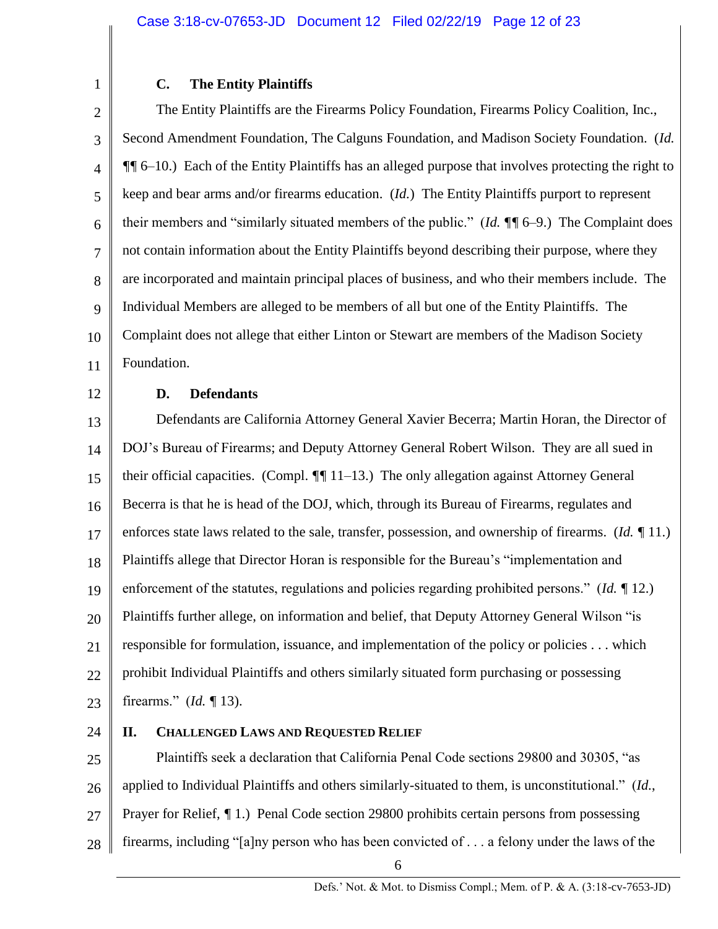# **C. The Entity Plaintiffs**

2 3 4 5 6 7 8 9 10 11 The Entity Plaintiffs are the Firearms Policy Foundation, Firearms Policy Coalition, Inc., Second Amendment Foundation, The Calguns Foundation, and Madison Society Foundation. (*Id. ¶¶* 6–10.) Each of the Entity Plaintiffs has an alleged purpose that involves protecting the right to keep and bear arms and/or firearms education. (*Id.*) The Entity Plaintiffs purport to represent their members and "similarly situated members of the public." (*Id. ¶¶* 6–9.) The Complaint does not contain information about the Entity Plaintiffs beyond describing their purpose, where they are incorporated and maintain principal places of business, and who their members include. The Individual Members are alleged to be members of all but one of the Entity Plaintiffs. The Complaint does not allege that either Linton or Stewart are members of the Madison Society Foundation.

12

1

# **D. Defendants**

13 14 15 16 17 18 19 20 21 22 23 Defendants are California Attorney General Xavier Becerra; Martin Horan, the Director of DOJ's Bureau of Firearms; and Deputy Attorney General Robert Wilson. They are all sued in their official capacities. (Compl. *¶¶* 11–13.) The only allegation against Attorney General Becerra is that he is head of the DOJ, which, through its Bureau of Firearms, regulates and enforces state laws related to the sale, transfer, possession, and ownership of firearms. (*Id. ¶* 11.) Plaintiffs allege that Director Horan is responsible for the Bureau's "implementation and enforcement of the statutes, regulations and policies regarding prohibited persons." (*Id. ¶* 12.) Plaintiffs further allege, on information and belief, that Deputy Attorney General Wilson "is responsible for formulation, issuance, and implementation of the policy or policies . . . which prohibit Individual Plaintiffs and others similarly situated form purchasing or possessing firearms." (*Id. ¶* 13).

24

# **II. CHALLENGED LAWS AND REQUESTED RELIEF**

25 26 27 28 Plaintiffs seek a declaration that California Penal Code sections 29800 and 30305, "as applied to Individual Plaintiffs and others similarly-situated to them, is unconstitutional." (*Id.*, Prayer for Relief, *¶* 1.) Penal Code section 29800 prohibits certain persons from possessing firearms, including "[a]ny person who has been convicted of . . . a felony under the laws of the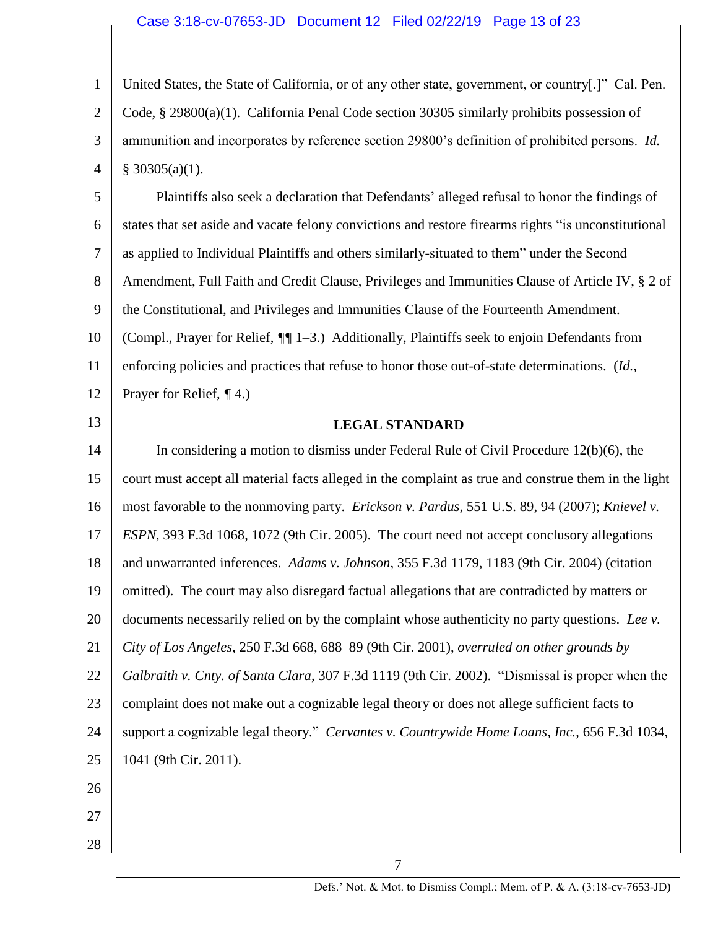## Case 3:18-cv-07653-JD Document 12 Filed 02/22/19 Page 13 of 23

1 2 3 4 United States, the State of California, or of any other state, government, or country[.]" Cal. Pen. Code, § 29800(a)(1). California Penal Code section 30305 similarly prohibits possession of ammunition and incorporates by reference section 29800's definition of prohibited persons. *Id.*  $§$  30305(a)(1).

5 6 7 8 9 10 11 12 Plaintiffs also seek a declaration that Defendants' alleged refusal to honor the findings of states that set aside and vacate felony convictions and restore firearms rights "is unconstitutional as applied to Individual Plaintiffs and others similarly-situated to them" under the Second Amendment, Full Faith and Credit Clause, Privileges and Immunities Clause of Article IV, § 2 of the Constitutional, and Privileges and Immunities Clause of the Fourteenth Amendment. (Compl., Prayer for Relief, *¶¶* 1–3.) Additionally, Plaintiffs seek to enjoin Defendants from enforcing policies and practices that refuse to honor those out-of-state determinations. (*Id.*, Prayer for Relief, *¶* 4.)

# 13

# **LEGAL STANDARD**

14 15 16 17 18 19 20 21 22 23 24 25 26 In considering a motion to dismiss under Federal Rule of Civil Procedure 12(b)(6), the court must accept all material facts alleged in the complaint as true and construe them in the light most favorable to the nonmoving party. *Erickson v. Pardus*, 551 U.S. 89, 94 (2007); *Knievel v. ESPN*, 393 F.3d 1068, 1072 (9th Cir. 2005). The court need not accept conclusory allegations and unwarranted inferences. *Adams v. Johnson*, 355 F.3d 1179, 1183 (9th Cir. 2004) (citation omitted). The court may also disregard factual allegations that are contradicted by matters or documents necessarily relied on by the complaint whose authenticity no party questions. *Lee v. City of Los Angeles*, 250 F.3d 668, 688–89 (9th Cir. 2001), *overruled on other grounds by Galbraith v. Cnty. of Santa Clara*, 307 F.3d 1119 (9th Cir. 2002). "Dismissal is proper when the complaint does not make out a cognizable legal theory or does not allege sufficient facts to support a cognizable legal theory." *Cervantes v. Countrywide Home Loans, Inc.*, 656 F.3d 1034, 1041 (9th Cir. 2011).

7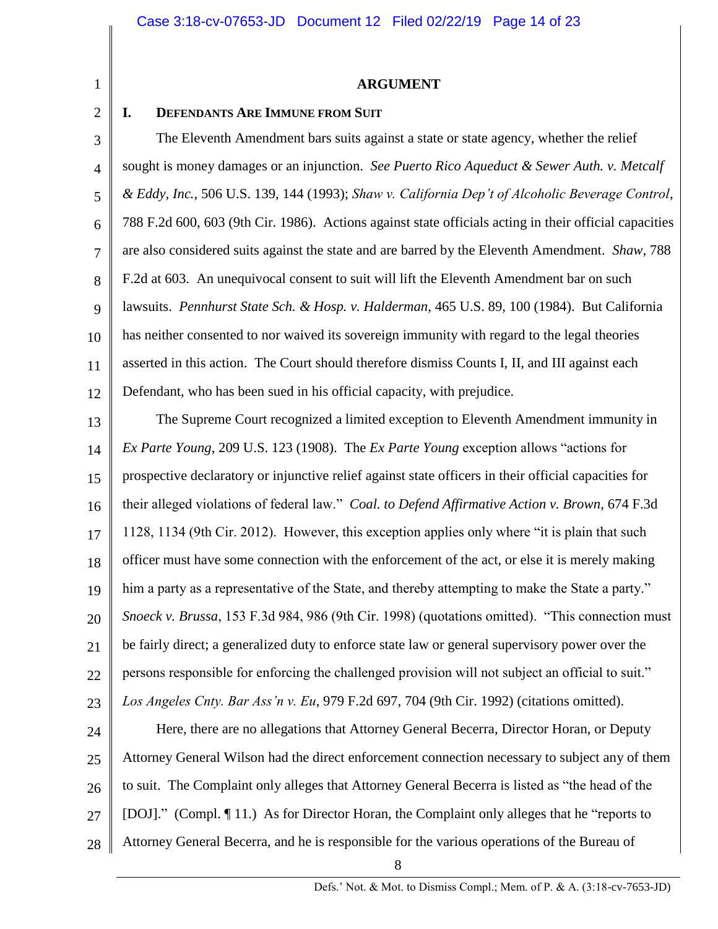1 2

#### **ARGUMENT**

### **I. DEFENDANTS ARE IMMUNE FROM SUIT**

3 4 5 6 7 8 9 10 11 12 The Eleventh Amendment bars suits against a state or state agency, whether the relief sought is money damages or an injunction. *See Puerto Rico Aqueduct & Sewer Auth. v. Metcalf & Eddy, Inc.*, 506 U.S. 139, 144 (1993); *Shaw v. California Dep't of Alcoholic Beverage Control*, 788 F.2d 600, 603 (9th Cir. 1986). Actions against state officials acting in their official capacities are also considered suits against the state and are barred by the Eleventh Amendment. *Shaw*, 788 F.2d at 603. An unequivocal consent to suit will lift the Eleventh Amendment bar on such lawsuits. *Pennhurst State Sch. & Hosp. v. Halderman*, 465 U.S. 89, 100 (1984). But California has neither consented to nor waived its sovereign immunity with regard to the legal theories asserted in this action. The Court should therefore dismiss Counts I, II, and III against each Defendant, who has been sued in his official capacity, with prejudice.

13 14 15 16 17 18 19 20 21 22 23 24 25 The Supreme Court recognized a limited exception to Eleventh Amendment immunity in *Ex Parte Young*, 209 U.S. 123 (1908). The *Ex Parte Young* exception allows "actions for prospective declaratory or injunctive relief against state officers in their official capacities for their alleged violations of federal law." *Coal. to Defend Affirmative Action v. Brown*, 674 F.3d 1128, 1134 (9th Cir. 2012). However, this exception applies only where "it is plain that such officer must have some connection with the enforcement of the act, or else it is merely making him a party as a representative of the State, and thereby attempting to make the State a party." *Snoeck v. Brussa*, 153 F.3d 984, 986 (9th Cir. 1998) (quotations omitted). "This connection must be fairly direct; a generalized duty to enforce state law or general supervisory power over the persons responsible for enforcing the challenged provision will not subject an official to suit." *Los Angeles Cnty. Bar Ass'n v. Eu*, 979 F.2d 697, 704 (9th Cir. 1992) (citations omitted). Here, there are no allegations that Attorney General Becerra, Director Horan, or Deputy Attorney General Wilson had the direct enforcement connection necessary to subject any of them

26 to suit. The Complaint only alleges that Attorney General Becerra is listed as "the head of the

27 [DOJ]." (Compl. ¶ 11.) As for Director Horan, the Complaint only alleges that he "reports to

28 Attorney General Becerra, and he is responsible for the various operations of the Bureau of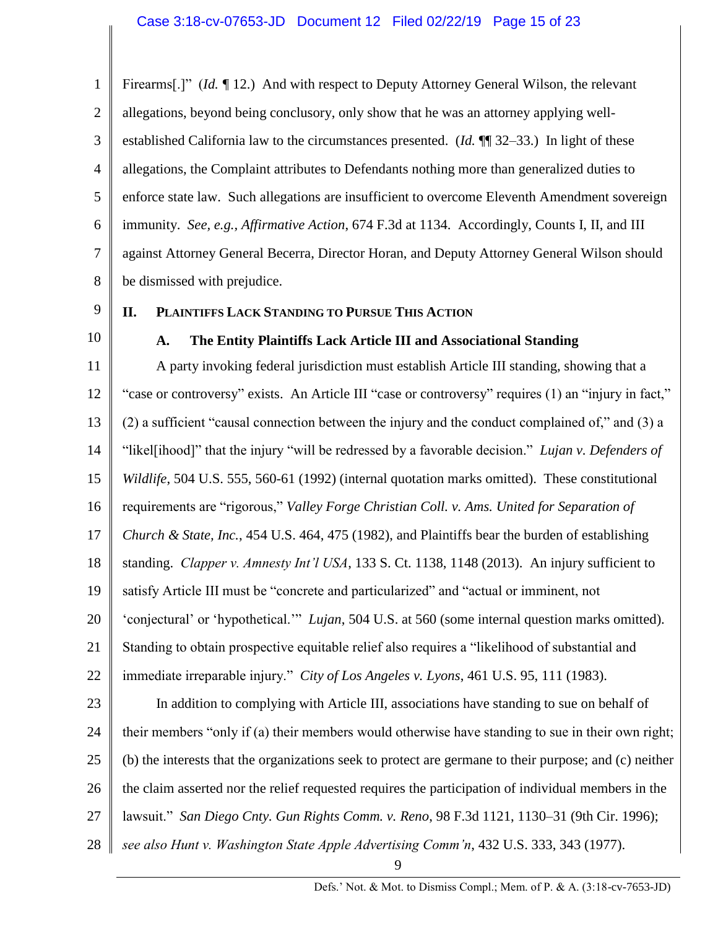1 2 3 4 5 6 7 8 Firearms[.]" (*Id. ¶* 12.) And with respect to Deputy Attorney General Wilson, the relevant allegations, beyond being conclusory, only show that he was an attorney applying wellestablished California law to the circumstances presented. (*Id.* ¶¶ 32–33.) In light of these allegations, the Complaint attributes to Defendants nothing more than generalized duties to enforce state law. Such allegations are insufficient to overcome Eleventh Amendment sovereign immunity. *See, e.g., Affirmative Action*, 674 F.3d at 1134. Accordingly, Counts I, II, and III against Attorney General Becerra, Director Horan, and Deputy Attorney General Wilson should be dismissed with prejudice.

9 10

# **II. PLAINTIFFS LACK STANDING TO PURSUE THIS ACTION**

# **A. The Entity Plaintiffs Lack Article III and Associational Standing**

11 12 13 14 15 16 17 18 19 20 21 22 23 24 25 26 27 28 A party invoking federal jurisdiction must establish Article III standing, showing that a "case or controversy" exists. An Article III "case or controversy" requires (1) an "injury in fact," (2) a sufficient "causal connection between the injury and the conduct complained of," and (3) a "likel[ihood]" that the injury "will be redressed by a favorable decision." *Lujan v. Defenders of Wildlife*, 504 U.S. 555, 560-61 (1992) (internal quotation marks omitted). These constitutional requirements are "rigorous," *Valley Forge Christian Coll. v. Ams. United for Separation of Church & State, Inc.*, 454 U.S. 464, 475 (1982), and Plaintiffs bear the burden of establishing standing. *Clapper v. Amnesty Int'l USA*, 133 S. Ct. 1138, 1148 (2013). An injury sufficient to satisfy Article III must be "concrete and particularized" and "actual or imminent, not 'conjectural' or 'hypothetical.'" *Lujan*, 504 U.S. at 560 (some internal question marks omitted). Standing to obtain prospective equitable relief also requires a "likelihood of substantial and immediate irreparable injury." *City of Los Angeles v. Lyons*, 461 U.S. 95, 111 (1983). In addition to complying with Article III, associations have standing to sue on behalf of their members "only if (a) their members would otherwise have standing to sue in their own right; (b) the interests that the organizations seek to protect are germane to their purpose; and (c) neither the claim asserted nor the relief requested requires the participation of individual members in the lawsuit." *San Diego Cnty. Gun Rights Comm. v. Reno*, 98 F.3d 1121, 1130–31 (9th Cir. 1996); *see also Hunt v. Washington State Apple Advertising Comm'n*, 432 U.S. 333, 343 (1977).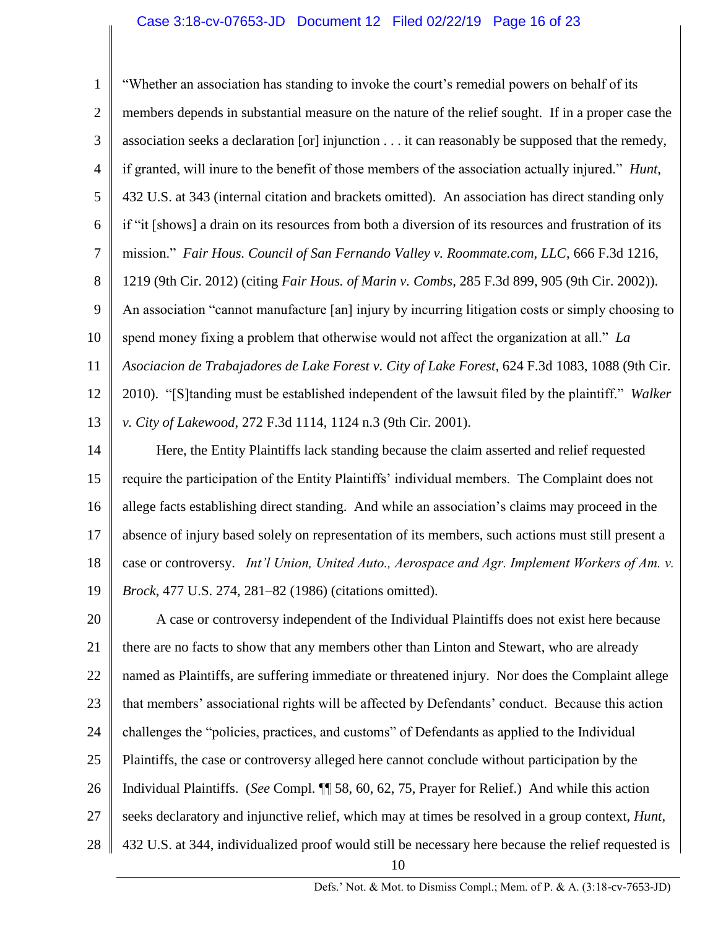1 2 3 4 5 6 7 8 9 10 11 12 13 "Whether an association has standing to invoke the court's remedial powers on behalf of its members depends in substantial measure on the nature of the relief sought. If in a proper case the association seeks a declaration [or] injunction . . . it can reasonably be supposed that the remedy, if granted, will inure to the benefit of those members of the association actually injured." *Hunt*, 432 U.S. at 343 (internal citation and brackets omitted). An association has direct standing only if "it [shows] a drain on its resources from both a diversion of its resources and frustration of its mission." *Fair Hous. Council of San Fernando Valley v. Roommate.com, LLC*, 666 F.3d 1216, 1219 (9th Cir. 2012) (citing *Fair Hous. of Marin v. Combs*, 285 F.3d 899, 905 (9th Cir. 2002)). An association "cannot manufacture [an] injury by incurring litigation costs or simply choosing to spend money fixing a problem that otherwise would not affect the organization at all." *La Asociacion de Trabajadores de Lake Forest v. City of Lake Forest*, 624 F.3d 1083, 1088 (9th Cir. 2010). "[S]tanding must be established independent of the lawsuit filed by the plaintiff." *Walker v. City of Lakewood*, 272 F.3d 1114, 1124 n.3 (9th Cir. 2001).

14 15 16 17 18 19 Here, the Entity Plaintiffs lack standing because the claim asserted and relief requested require the participation of the Entity Plaintiffs' individual members. The Complaint does not allege facts establishing direct standing. And while an association's claims may proceed in the absence of injury based solely on representation of its members, such actions must still present a case or controversy. *Int'l Union, United Auto., Aerospace and Agr. Implement Workers of Am. v. Brock*, 477 U.S. 274, 281–82 (1986) (citations omitted).

20 21 22 23 24 25 26 27 28 10 A case or controversy independent of the Individual Plaintiffs does not exist here because there are no facts to show that any members other than Linton and Stewart, who are already named as Plaintiffs, are suffering immediate or threatened injury. Nor does the Complaint allege that members' associational rights will be affected by Defendants' conduct. Because this action challenges the "policies, practices, and customs" of Defendants as applied to the Individual Plaintiffs, the case or controversy alleged here cannot conclude without participation by the Individual Plaintiffs. (*See* Compl. ¶¶ 58, 60, 62, 75, Prayer for Relief.) And while this action seeks declaratory and injunctive relief, which may at times be resolved in a group context, *Hunt*, 432 U.S. at 344, individualized proof would still be necessary here because the relief requested is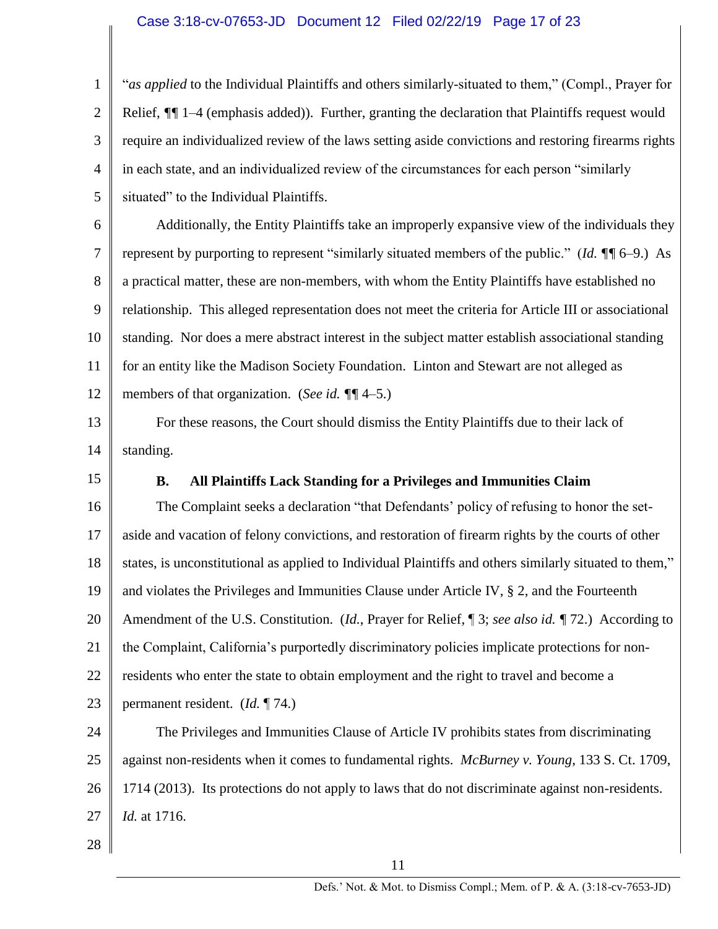## Case 3:18-cv-07653-JD Document 12 Filed 02/22/19 Page 17 of 23

1 2 3 4 5 "*as applied* to the Individual Plaintiffs and others similarly-situated to them," (Compl., Prayer for Relief,  $\sqrt{\frac{g}{g}}$  1–4 (emphasis added)). Further, granting the declaration that Plaintiffs request would require an individualized review of the laws setting aside convictions and restoring firearms rights in each state, and an individualized review of the circumstances for each person "similarly situated" to the Individual Plaintiffs.

6 7 8 9 10 11 12 Additionally, the Entity Plaintiffs take an improperly expansive view of the individuals they represent by purporting to represent "similarly situated members of the public." (*Id. ¶¶* 6–9.) As a practical matter, these are non-members, with whom the Entity Plaintiffs have established no relationship. This alleged representation does not meet the criteria for Article III or associational standing. Nor does a mere abstract interest in the subject matter establish associational standing for an entity like the Madison Society Foundation. Linton and Stewart are not alleged as members of that organization. (*See id. ¶¶* 4–5.)

13 14 For these reasons, the Court should dismiss the Entity Plaintiffs due to their lack of standing.

15

## **B. All Plaintiffs Lack Standing for a Privileges and Immunities Claim**

16 17 18 19 20 21 22 23 24 The Complaint seeks a declaration "that Defendants' policy of refusing to honor the setaside and vacation of felony convictions, and restoration of firearm rights by the courts of other states, is unconstitutional as applied to Individual Plaintiffs and others similarly situated to them," and violates the Privileges and Immunities Clause under Article IV, § 2, and the Fourteenth Amendment of the U.S. Constitution. (*Id.*, Prayer for Relief, ¶ 3; *see also id. ¶* 72.) According to the Complaint, California's purportedly discriminatory policies implicate protections for nonresidents who enter the state to obtain employment and the right to travel and become a permanent resident. (*Id.* ¶ 74.) The Privileges and Immunities Clause of Article IV prohibits states from discriminating

25 26 27 against non-residents when it comes to fundamental rights. *McBurney v. Young*, 133 S. Ct. 1709, 1714 (2013). Its protections do not apply to laws that do not discriminate against non-residents. *Id.* at 1716.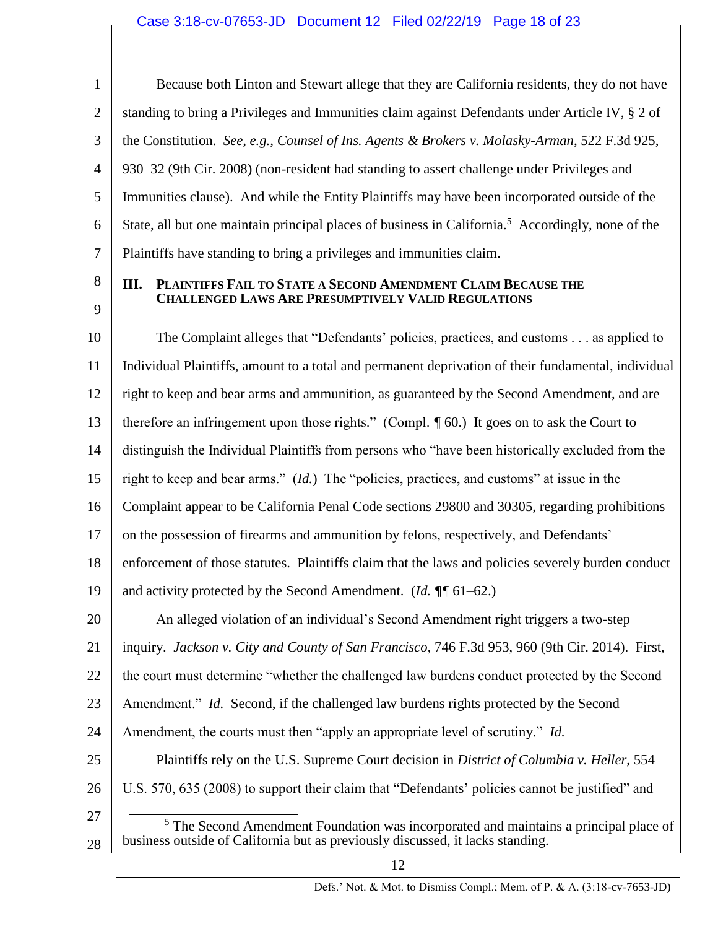| 3              | $t\bar{t}$     |
|----------------|----------------|
| $\overline{4}$ | $\overline{9}$ |
| 5              | Ir.            |
| 6              | $S^{\dagger}$  |
| 7              | $\overline{P}$ |
| 8              | $\mathbf{I}$   |
| 9              |                |
| $\overline{0}$ |                |

1

2

Because both Linton and Stewart allege that they are California residents, they do not have standing to bring a Privileges and Immunities claim against Defendants under Article IV, § 2 of the Constitution. *See, e.g., Counsel of Ins. Agents & Brokers v. Molasky-Arman*, 522 F.3d 925, 930–32 (9th Cir. 2008) (non-resident had standing to assert challenge under Privileges and nmunities clause). And while the Entity Plaintiffs may have been incorporated outside of the State, all but one maintain principal places of business in California.<sup>5</sup> Accordingly, none of the laintiffs have standing to bring a privileges and immunities claim.

# **III. PLAINTIFFS FAIL TO STATE A SECOND AMENDMENT CLAIM BECAUSE THE CHALLENGED LAWS ARE PRESUMPTIVELY VALID REGULATIONS**

10 11 12 13 14 15 16 17 18 19 20 21 22 23 24 25 26 The Complaint alleges that "Defendants' policies, practices, and customs . . . as applied to Individual Plaintiffs, amount to a total and permanent deprivation of their fundamental, individual right to keep and bear arms and ammunition, as guaranteed by the Second Amendment, and are therefore an infringement upon those rights." (Compl. *¶* 60.) It goes on to ask the Court to distinguish the Individual Plaintiffs from persons who "have been historically excluded from the right to keep and bear arms." (*Id.*) The "policies, practices, and customs" at issue in the Complaint appear to be California Penal Code sections 29800 and 30305, regarding prohibitions on the possession of firearms and ammunition by felons, respectively, and Defendants' enforcement of those statutes. Plaintiffs claim that the laws and policies severely burden conduct and activity protected by the Second Amendment. (*Id. ¶¶* 61–62.) An alleged violation of an individual's Second Amendment right triggers a two-step inquiry. *Jackson v. City and County of San Francisco*, 746 F.3d 953, 960 (9th Cir. 2014). First, the court must determine "whether the challenged law burdens conduct protected by the Second Amendment." *Id.* Second, if the challenged law burdens rights protected by the Second Amendment, the courts must then "apply an appropriate level of scrutiny." *Id.* Plaintiffs rely on the U.S. Supreme Court decision in *District of Columbia v. Heller*, 554 U.S. 570, 635 (2008) to support their claim that "Defendants' policies cannot be justified" and

27 28 l <sup>5</sup> The Second Amendment Foundation was incorporated and maintains a principal place of business outside of California but as previously discussed, it lacks standing.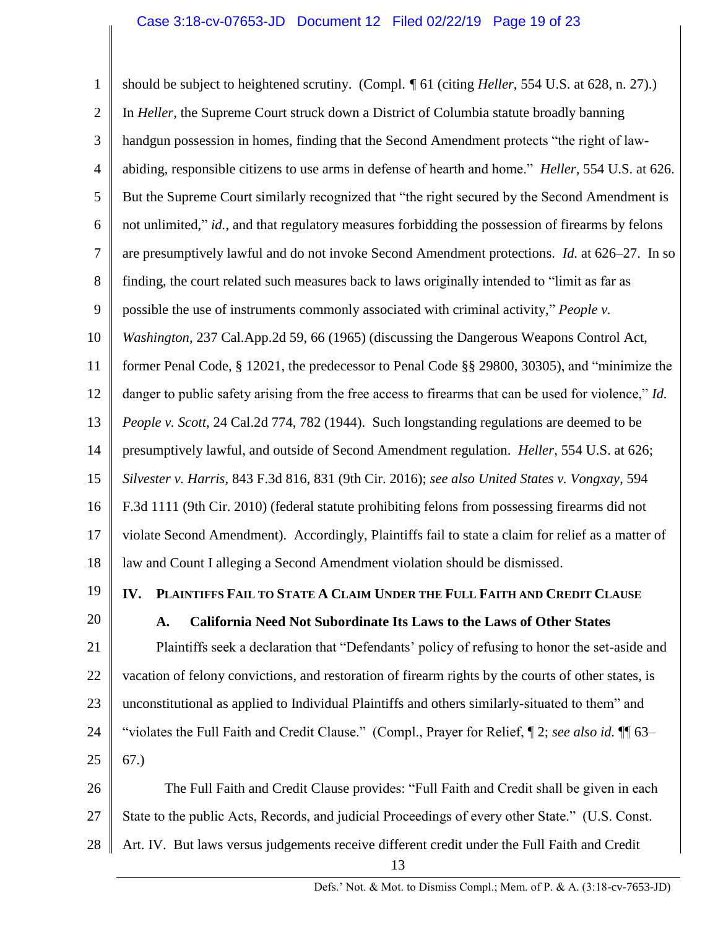1 2 3 4 5 6 7 8 9 10 11 12 13 14 15 16 17 18 19 20 21 22 23 24 25 should be subject to heightened scrutiny. (Compl. *¶* 61 (citing *Heller*, 554 U.S. at 628, n. 27).) In *Heller*, the Supreme Court struck down a District of Columbia statute broadly banning handgun possession in homes, finding that the Second Amendment protects "the right of lawabiding, responsible citizens to use arms in defense of hearth and home." *Heller*, 554 U.S. at 626. But the Supreme Court similarly recognized that "the right secured by the Second Amendment is not unlimited," *id.*, and that regulatory measures forbidding the possession of firearms by felons are presumptively lawful and do not invoke Second Amendment protections. *Id.* at 626–27. In so finding, the court related such measures back to laws originally intended to "limit as far as possible the use of instruments commonly associated with criminal activity," *People v. Washington*, 237 Cal.App.2d 59, 66 (1965) (discussing the Dangerous Weapons Control Act, former Penal Code, § 12021, the predecessor to Penal Code §§ 29800, 30305), and "minimize the danger to public safety arising from the free access to firearms that can be used for violence," *Id. People v. Scott*, 24 Cal.2d 774, 782 (1944). Such longstanding regulations are deemed to be presumptively lawful, and outside of Second Amendment regulation. *Heller*, 554 U.S. at 626; *Silvester v. Harris*, 843 F.3d 816, 831 (9th Cir. 2016); *see also United States v. Vongxay*, 594 F.3d 1111 (9th Cir. 2010) (federal statute prohibiting felons from possessing firearms did not violate Second Amendment). Accordingly, Plaintiffs fail to state a claim for relief as a matter of law and Count I alleging a Second Amendment violation should be dismissed. **IV. PLAINTIFFS FAIL TO STATE A CLAIM UNDER THE FULL FAITH AND CREDIT CLAUSE A. California Need Not Subordinate Its Laws to the Laws of Other States** Plaintiffs seek a declaration that "Defendants' policy of refusing to honor the set-aside and vacation of felony convictions, and restoration of firearm rights by the courts of other states, is unconstitutional as applied to Individual Plaintiffs and others similarly-situated to them" and "violates the Full Faith and Credit Clause." (Compl., Prayer for Relief, ¶ 2; *see also id.* ¶¶ 63– 67.)

26 27 28 The Full Faith and Credit Clause provides: "Full Faith and Credit shall be given in each State to the public Acts, Records, and judicial Proceedings of every other State." (U.S. Const. Art. IV. But laws versus judgements receive different credit under the Full Faith and Credit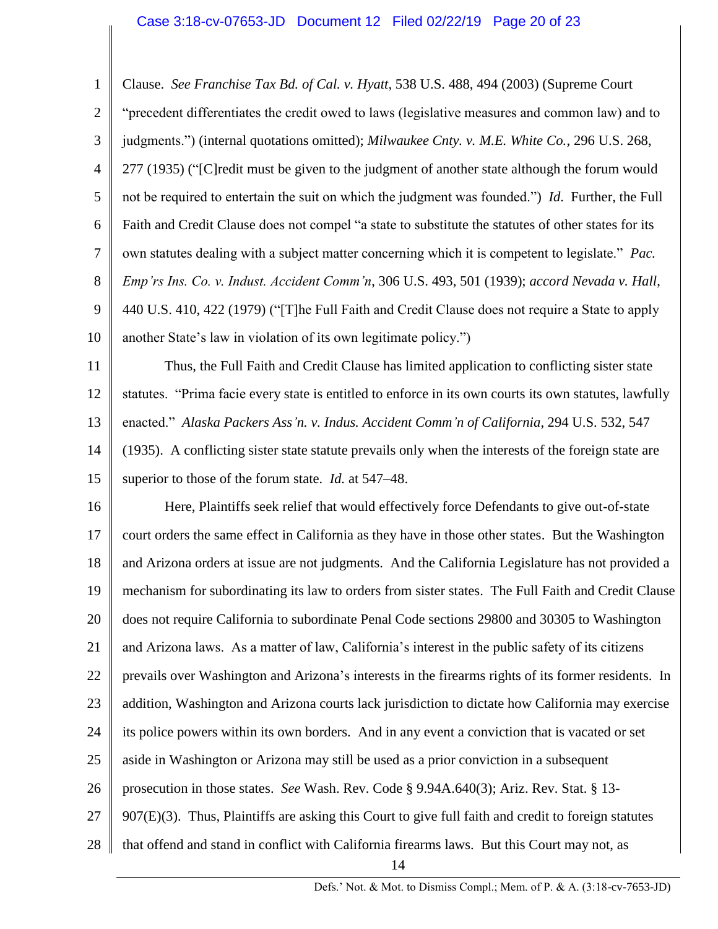## Case 3:18-cv-07653-JD Document 12 Filed 02/22/19 Page 20 of 23

1 2 3 4 5 6 7 8 9 10 Clause. *See Franchise Tax Bd. of Cal. v. Hyatt*, 538 U.S. 488, 494 (2003) (Supreme Court "precedent differentiates the credit owed to laws (legislative measures and common law) and to judgments.") (internal quotations omitted); *Milwaukee Cnty. v. M.E. White Co.*, 296 U.S. 268, 277 (1935) ("[C]redit must be given to the judgment of another state although the forum would not be required to entertain the suit on which the judgment was founded.") *Id*. Further, the Full Faith and Credit Clause does not compel "a state to substitute the statutes of other states for its own statutes dealing with a subject matter concerning which it is competent to legislate." *Pac. Emp'rs Ins. Co. v. Indust. Accident Comm'n*, 306 U.S. 493, 501 (1939); *accord Nevada v. Hall*, 440 U.S. 410, 422 (1979) ("[T]he Full Faith and Credit Clause does not require a State to apply another State's law in violation of its own legitimate policy.")

11 12 13 14 15 Thus, the Full Faith and Credit Clause has limited application to conflicting sister state statutes. "Prima facie every state is entitled to enforce in its own courts its own statutes, lawfully enacted." *Alaska Packers Ass'n. v. Indus. Accident Comm'n of California*, 294 U.S. 532, 547 (1935). A conflicting sister state statute prevails only when the interests of the foreign state are superior to those of the forum state. *Id.* at 547–48.

16 17 18 19 20 21 22 23 24 25 26 27 28 Here, Plaintiffs seek relief that would effectively force Defendants to give out-of-state court orders the same effect in California as they have in those other states. But the Washington and Arizona orders at issue are not judgments. And the California Legislature has not provided a mechanism for subordinating its law to orders from sister states. The Full Faith and Credit Clause does not require California to subordinate Penal Code sections 29800 and 30305 to Washington and Arizona laws. As a matter of law, California's interest in the public safety of its citizens prevails over Washington and Arizona's interests in the firearms rights of its former residents. In addition, Washington and Arizona courts lack jurisdiction to dictate how California may exercise its police powers within its own borders. And in any event a conviction that is vacated or set aside in Washington or Arizona may still be used as a prior conviction in a subsequent prosecution in those states. *See* Wash. Rev. Code § 9.94A.640(3); Ariz. Rev. Stat. § 13- 907(E)(3). Thus, Plaintiffs are asking this Court to give full faith and credit to foreign statutes that offend and stand in conflict with California firearms laws. But this Court may not, as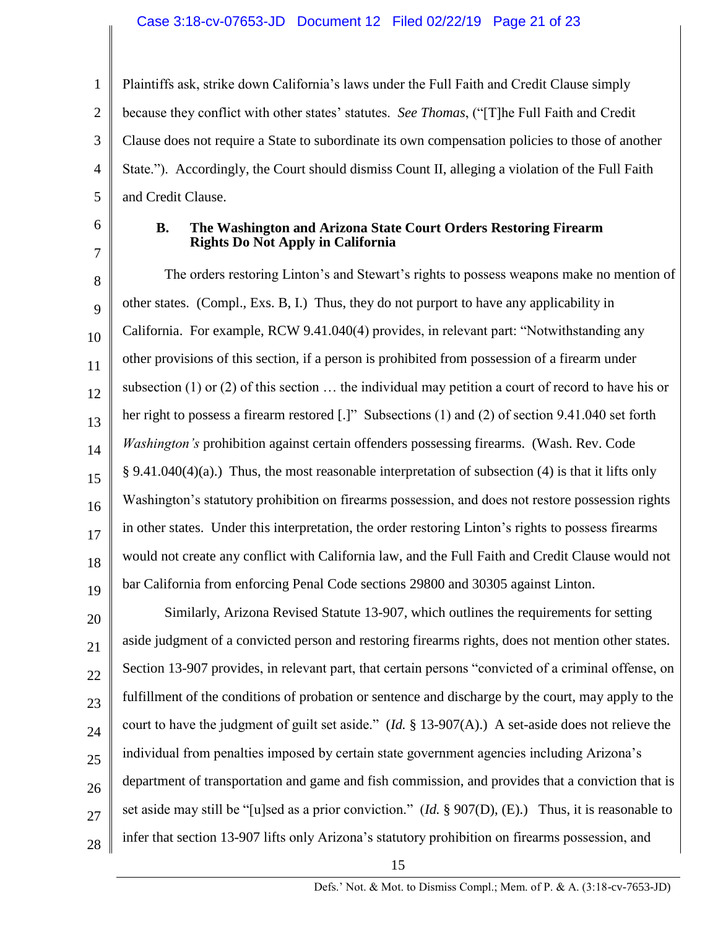### Case 3:18-cv-07653-JD Document 12 Filed 02/22/19 Page 21 of 23

1 2 3 4 5 Plaintiffs ask, strike down California's laws under the Full Faith and Credit Clause simply because they conflict with other states' statutes. *See Thomas*, ("[T]he Full Faith and Credit Clause does not require a State to subordinate its own compensation policies to those of another State."). Accordingly, the Court should dismiss Count II, alleging a violation of the Full Faith and Credit Clause.

6 7

## **B. The Washington and Arizona State Court Orders Restoring Firearm Rights Do Not Apply in California**

8 9 10 11 12 13 14 15 16 17 18 19 The orders restoring Linton's and Stewart's rights to possess weapons make no mention of other states. (Compl., Exs. B, I.) Thus, they do not purport to have any applicability in California. For example, RCW 9.41.040(4) provides, in relevant part: "Notwithstanding any other provisions of this section, if a person is prohibited from possession of a firearm under subsection (1) or (2) of this section … the individual may petition a court of record to have his or her right to possess a firearm restored [.]" Subsections (1) and (2) of section 9.41.040 set forth *Washington's* prohibition against certain offenders possessing firearms. (Wash. Rev. Code § 9.41.040(4)(a).) Thus, the most reasonable interpretation of subsection (4) is that it lifts only Washington's statutory prohibition on firearms possession, and does not restore possession rights in other states. Under this interpretation, the order restoring Linton's rights to possess firearms would not create any conflict with California law, and the Full Faith and Credit Clause would not bar California from enforcing Penal Code sections 29800 and 30305 against Linton.

20 21 22 23 24 25 26 27 28 Similarly, Arizona Revised Statute 13-907, which outlines the requirements for setting aside judgment of a convicted person and restoring firearms rights, does not mention other states. Section 13-907 provides, in relevant part, that certain persons "convicted of a criminal offense, on fulfillment of the conditions of probation or sentence and discharge by the court, may apply to the court to have the judgment of guilt set aside." (*Id.* § 13-907(A).) A set-aside does not relieve the individual from penalties imposed by certain state government agencies including Arizona's department of transportation and game and fish commission, and provides that a conviction that is set aside may still be "[u]sed as a prior conviction." (*Id.* § 907(D), (E).) Thus, it is reasonable to infer that section 13-907 lifts only Arizona's statutory prohibition on firearms possession, and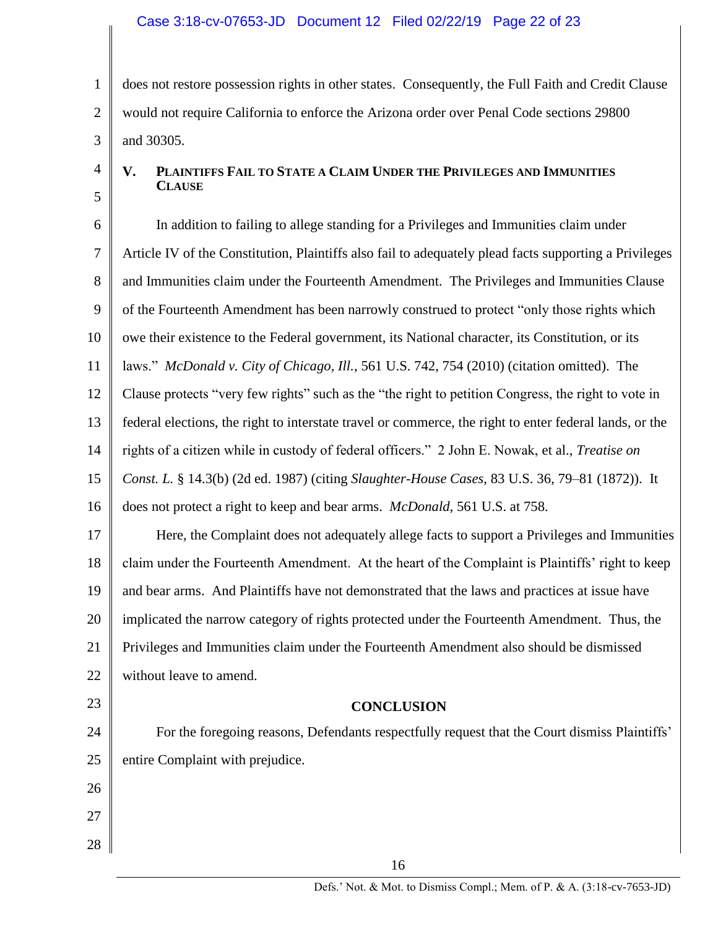1 2 3 does not restore possession rights in other states. Consequently, the Full Faith and Credit Clause would not require California to enforce the Arizona order over Penal Code sections 29800 and 30305.

4

5

# **V. PLAINTIFFS FAIL TO STATE A CLAIM UNDER THE PRIVILEGES AND IMMUNITIES CLAUSE**

6 7 8 9 10 11 12 13 14 15 16 In addition to failing to allege standing for a Privileges and Immunities claim under Article IV of the Constitution, Plaintiffs also fail to adequately plead facts supporting a Privileges and Immunities claim under the Fourteenth Amendment. The Privileges and Immunities Clause of the Fourteenth Amendment has been narrowly construed to protect "only those rights which owe their existence to the Federal government, its National character, its Constitution, or its laws." *McDonald v. City of Chicago, Ill.*, 561 U.S. 742, 754 (2010) (citation omitted). The Clause protects "very few rights" such as the "the right to petition Congress, the right to vote in federal elections, the right to interstate travel or commerce, the right to enter federal lands, or the rights of a citizen while in custody of federal officers." 2 John E. Nowak, et al., *Treatise on Const. L.* § 14.3(b) (2d ed. 1987) (citing *Slaughter-House Cases*, 83 U.S. 36, 79–81 (1872)). It does not protect a right to keep and bear arms. *McDonald*, 561 U.S. at 758.

17 18 19 20 21 22 Here, the Complaint does not adequately allege facts to support a Privileges and Immunities claim under the Fourteenth Amendment. At the heart of the Complaint is Plaintiffs' right to keep and bear arms. And Plaintiffs have not demonstrated that the laws and practices at issue have implicated the narrow category of rights protected under the Fourteenth Amendment. Thus, the Privileges and Immunities claim under the Fourteenth Amendment also should be dismissed without leave to amend.

23

# **CONCLUSION**

24 25 For the foregoing reasons, Defendants respectfully request that the Court dismiss Plaintiffs' entire Complaint with prejudice.

27 28